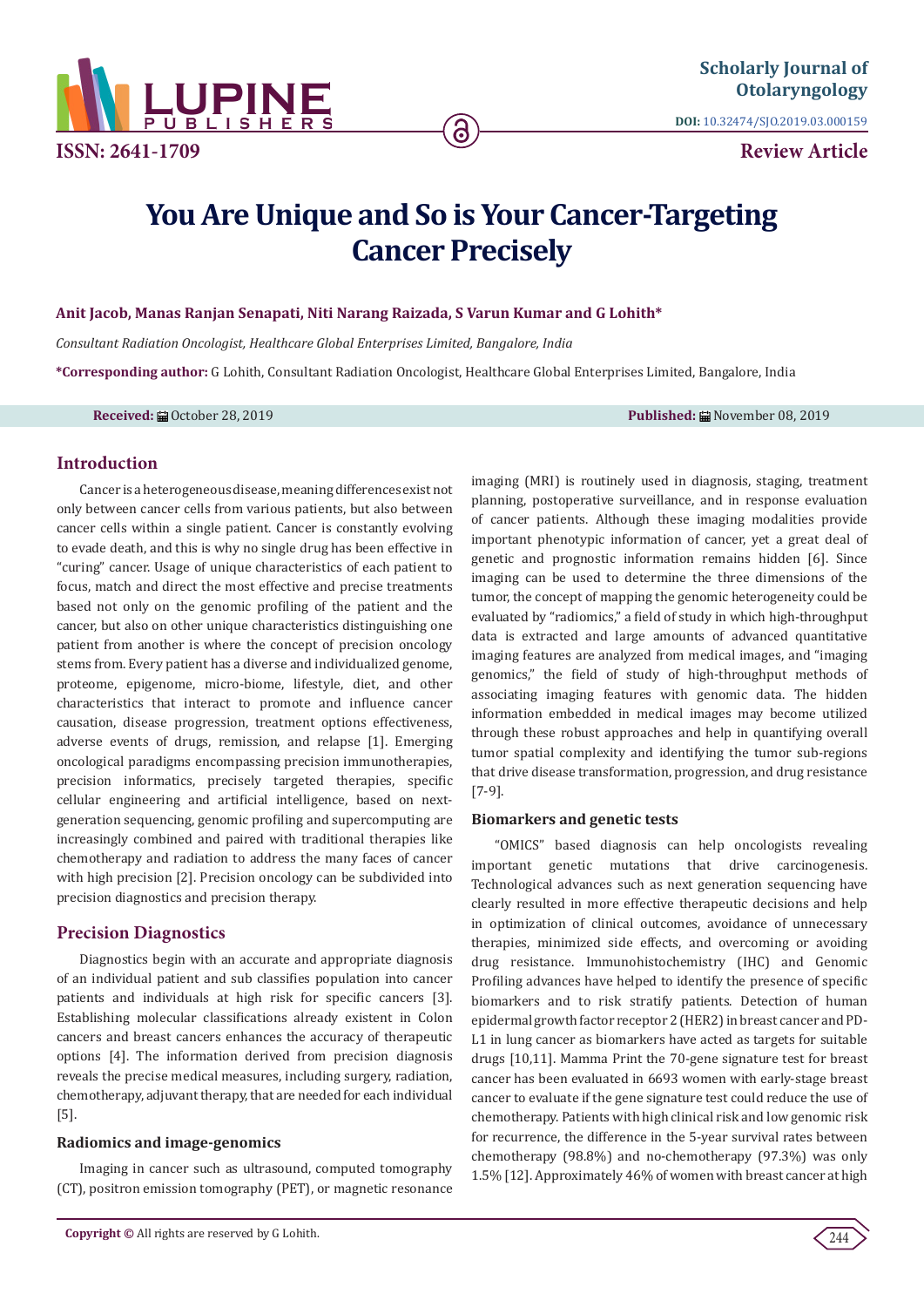

**ISSN: 2641-1709**

**DOI:** [10.32474/SJO.2019.03.000159](http://dx.doi.org/10.32474/SJO.2019.03.000159)

**Review Article**

# **You Are Unique and So is Your Cancer-Targeting Cancer Precisely**

ခြ

## **Anit Jacob, Manas Ranjan Senapati, Niti Narang Raizada, S Varun Kumar and G Lohith\***

*Consultant Radiation Oncologist, Healthcare Global Enterprises Limited, Bangalore, India*

**\*Corresponding author:** G Lohith, Consultant Radiation Oncologist, Healthcare Global Enterprises Limited, Bangalore, India

**Received:** ■ October 28, 2019 **Published:** ■ November 08, 2019

# **Introduction**

Cancer is a heterogeneous disease, meaning differences exist not only between cancer cells from various patients, but also between cancer cells within a single patient. Cancer is constantly evolving to evade death, and this is why no single drug has been effective in "curing" cancer. Usage of unique characteristics of each patient to focus, match and direct the most effective and precise treatments based not only on the genomic profiling of the patient and the cancer, but also on other unique characteristics distinguishing one patient from another is where the concept of precision oncology stems from. Every patient has a diverse and individualized genome, proteome, epigenome, micro-biome, lifestyle, diet, and other characteristics that interact to promote and influence cancer causation, disease progression, treatment options effectiveness, adverse events of drugs, remission, and relapse [1]. Emerging oncological paradigms encompassing precision immunotherapies, precision informatics, precisely targeted therapies, specific cellular engineering and artificial intelligence, based on nextgeneration sequencing, genomic profiling and supercomputing are increasingly combined and paired with traditional therapies like chemotherapy and radiation to address the many faces of cancer with high precision [2]. Precision oncology can be subdivided into precision diagnostics and precision therapy.

# **Precision Diagnostics**

Diagnostics begin with an accurate and appropriate diagnosis of an individual patient and sub classifies population into cancer patients and individuals at high risk for specific cancers [3]. Establishing molecular classifications already existent in Colon cancers and breast cancers enhances the accuracy of therapeutic options [4]. The information derived from precision diagnosis reveals the precise medical measures, including surgery, radiation, chemotherapy, adjuvant therapy, that are needed for each individual [5].

## **Radiomics and image-genomics**

Imaging in cancer such as ultrasound, computed tomography (CT), positron emission tomography (PET), or magnetic resonance

**Copyright ©** All rights are reserved by G Lohith.

imaging (MRI) is routinely used in diagnosis, staging, treatment planning, postoperative surveillance, and in response evaluation of cancer patients. Although these imaging modalities provide important phenotypic information of cancer, yet a great deal of genetic and prognostic information remains hidden [6]. Since imaging can be used to determine the three dimensions of the tumor, the concept of mapping the genomic heterogeneity could be evaluated by "radiomics," a field of study in which high-throughput data is extracted and large amounts of advanced quantitative imaging features are analyzed from medical images, and "imaging genomics," the field of study of high-throughput methods of associating imaging features with genomic data. The hidden information embedded in medical images may become utilized through these robust approaches and help in quantifying overall tumor spatial complexity and identifying the tumor sub-regions that drive disease transformation, progression, and drug resistance [7-9].

## **Biomarkers and genetic tests**

"OMICS" based diagnosis can help oncologists revealing important genetic mutations that drive carcinogenesis. Technological advances such as next generation sequencing have clearly resulted in more effective therapeutic decisions and help in optimization of clinical outcomes, avoidance of unnecessary therapies, minimized side effects, and overcoming or avoiding drug resistance. Immunohistochemistry (IHC) and Genomic Profiling advances have helped to identify the presence of specific biomarkers and to risk stratify patients. Detection of human epidermal growth factor receptor 2 (HER2) in breast cancer and PD-L1 in lung cancer as biomarkers have acted as targets for suitable drugs [10,11]. Mamma Print the 70-gene signature test for breast cancer has been evaluated in 6693 women with early-stage breast cancer to evaluate if the gene signature test could reduce the use of chemotherapy. Patients with high clinical risk and low genomic risk for recurrence, the difference in the 5-year survival rates between chemotherapy (98.8%) and no-chemotherapy (97.3%) was only 1.5% [12]. Approximately 46% of women with breast cancer at high

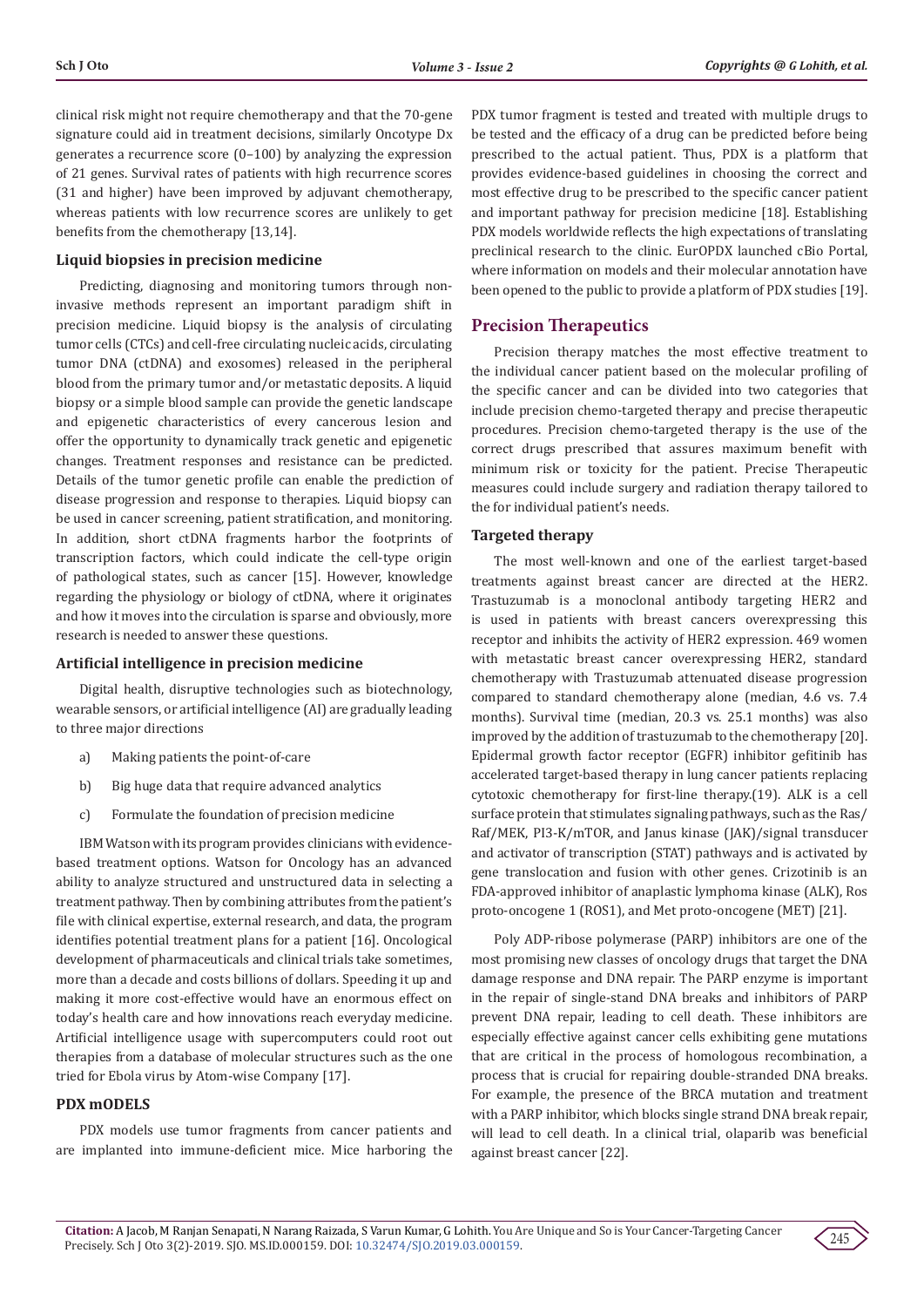clinical risk might not require chemotherapy and that the 70-gene signature could aid in treatment decisions, similarly Oncotype Dx generates a recurrence score (0–100) by analyzing the expression of 21 genes. Survival rates of patients with high recurrence scores (31 and higher) have been improved by adjuvant chemotherapy, whereas patients with low recurrence scores are unlikely to get benefits from the chemotherapy [13,14].

#### **Liquid biopsies in precision medicine**

Predicting, diagnosing and monitoring tumors through noninvasive methods represent an important paradigm shift in precision medicine. Liquid biopsy is the analysis of circulating tumor cells (CTCs) and cell-free circulating nucleic acids, circulating tumor DNA (ctDNA) and exosomes) released in the peripheral blood from the primary tumor and/or metastatic deposits. A liquid biopsy or a simple blood sample can provide the genetic landscape and epigenetic characteristics of every cancerous lesion and offer the opportunity to dynamically track genetic and epigenetic changes. Treatment responses and resistance can be predicted. Details of the tumor genetic profile can enable the prediction of disease progression and response to therapies. Liquid biopsy can be used in cancer screening, patient stratification, and monitoring. In addition, short ctDNA fragments harbor the footprints of transcription factors, which could indicate the cell-type origin of pathological states, such as cancer [15]. However, knowledge regarding the physiology or biology of ctDNA, where it originates and how it moves into the circulation is sparse and obviously, more research is needed to answer these questions.

#### **Artificial intelligence in precision medicine**

Digital health, disruptive technologies such as biotechnology, wearable sensors, or artificial intelligence (AI) are gradually leading to three major directions

- a) Making patients the point-of-care
- b) Big huge data that require advanced analytics
- c) Formulate the foundation of precision medicine

IBM Watson with its program provides clinicians with evidencebased treatment options. Watson for Oncology has an advanced ability to analyze structured and unstructured data in selecting a treatment pathway. Then by combining attributes from the patient's file with clinical expertise, external research, and data, the program identifies potential treatment plans for a patient [16]. Oncological development of pharmaceuticals and clinical trials take sometimes, more than a decade and costs billions of dollars. Speeding it up and making it more cost-effective would have an enormous effect on today's health care and how innovations reach everyday medicine. Artificial intelligence usage with supercomputers could root out therapies from a database of molecular structures such as the one tried for Ebola virus by Atom-wise Company [17].

## **PDX mODELS**

PDX models use tumor fragments from cancer patients and are implanted into immune-deficient mice. Mice harboring the PDX tumor fragment is tested and treated with multiple drugs to be tested and the efficacy of a drug can be predicted before being prescribed to the actual patient. Thus, PDX is a platform that provides evidence-based guidelines in choosing the correct and most effective drug to be prescribed to the specific cancer patient and important pathway for precision medicine [18]. Establishing PDX models worldwide reflects the high expectations of translating preclinical research to the clinic. EurOPDX launched cBio Portal, where information on models and their molecular annotation have been opened to the public to provide a platform of PDX studies [19].

## **Precision Therapeutics**

Precision therapy matches the most effective treatment to the individual cancer patient based on the molecular profiling of the specific cancer and can be divided into two categories that include precision chemo-targeted therapy and precise therapeutic procedures. Precision chemo-targeted therapy is the use of the correct drugs prescribed that assures maximum benefit with minimum risk or toxicity for the patient. Precise Therapeutic measures could include surgery and radiation therapy tailored to the for individual patient's needs.

#### **Targeted therapy**

The most well-known and one of the earliest target-based treatments against breast cancer are directed at the HER2. Trastuzumab is a monoclonal antibody targeting HER2 and is used in patients with breast cancers overexpressing this receptor and inhibits the activity of HER2 expression. 469 women with metastatic breast cancer overexpressing HER2, standard chemotherapy with Trastuzumab attenuated disease progression compared to standard chemotherapy alone (median, 4.6 vs. 7.4 months). Survival time (median, 20.3 vs. 25.1 months) was also improved by the addition of trastuzumab to the chemotherapy [20]. Epidermal growth factor receptor (EGFR) inhibitor gefitinib has accelerated target-based therapy in lung cancer patients replacing cytotoxic chemotherapy for first-line therapy.(19). ALK is a cell surface protein that stimulates signaling pathways, such as the Ras/ Raf/MEK, PI3-K/mTOR, and Janus kinase (JAK)/signal transducer and activator of transcription (STAT) pathways and is activated by gene translocation and fusion with other genes. Crizotinib is an FDA-approved inhibitor of anaplastic lymphoma kinase (ALK), Ros proto-oncogene 1 (ROS1), and Met proto-oncogene (MET) [21].

Poly ADP-ribose polymerase (PARP) inhibitors are one of the most promising new classes of oncology drugs that target the DNA damage response and DNA repair. The PARP enzyme is important in the repair of single-stand DNA breaks and inhibitors of PARP prevent DNA repair, leading to cell death. These inhibitors are especially effective against cancer cells exhibiting gene mutations that are critical in the process of homologous recombination, a process that is crucial for repairing double-stranded DNA breaks. For example, the presence of the BRCA mutation and treatment with a PARP inhibitor, which blocks single strand DNA break repair, will lead to cell death. In a clinical trial, olaparib was beneficial against breast cancer [22].

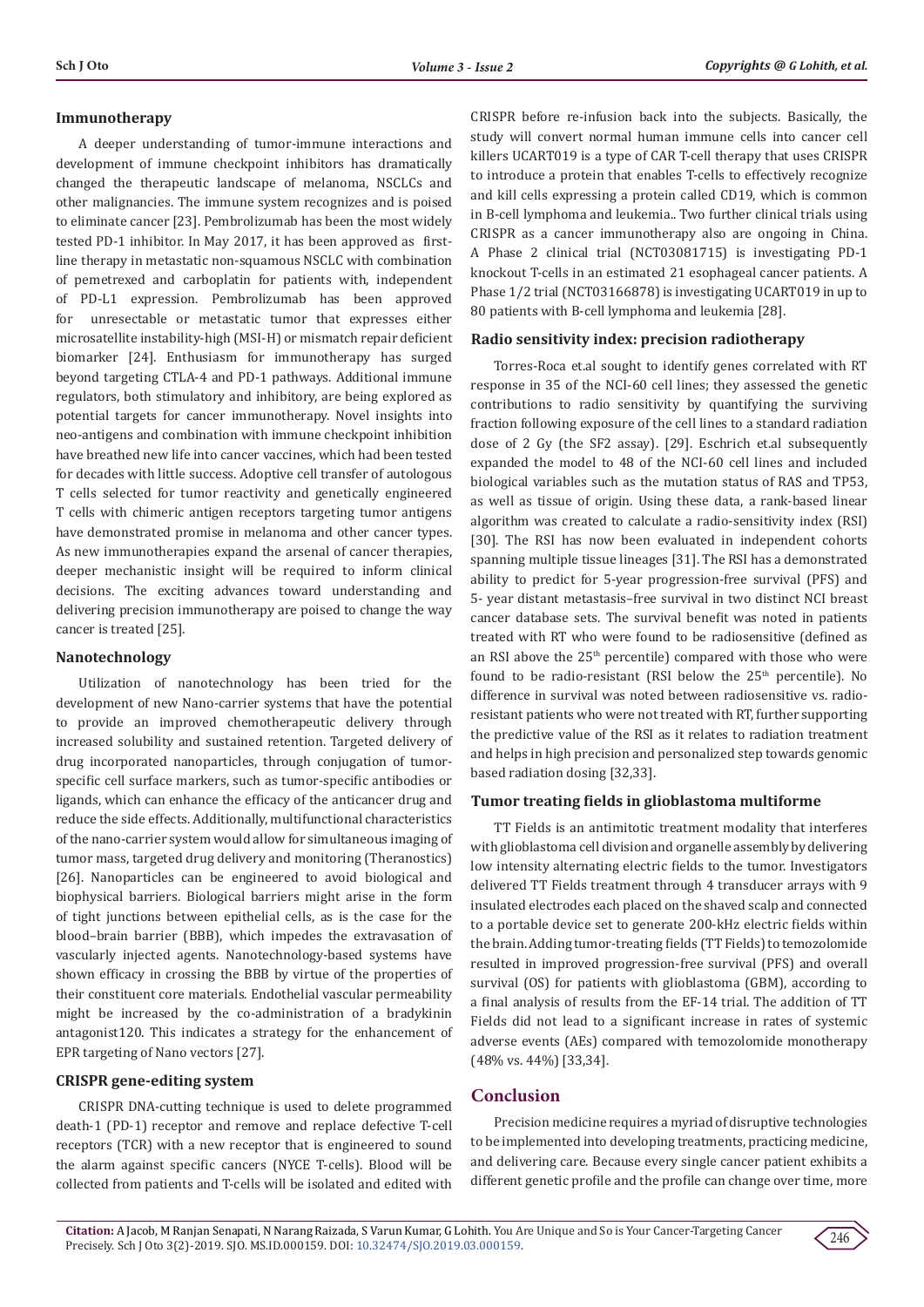## **Immunotherapy**

A deeper understanding of tumor-immune interactions and development of immune checkpoint inhibitors has dramatically changed the therapeutic landscape of melanoma, NSCLCs and other malignancies. The immune system recognizes and is poised to eliminate cancer [23]. Pembrolizumab has been the most widely tested PD-1 inhibitor. In May 2017, it has been approved as firstline therapy in metastatic non-squamous NSCLC with combination of pemetrexed and carboplatin for patients with, independent of PD-L1 expression. Pembrolizumab has been approved for unresectable or metastatic tumor that expresses either microsatellite instability-high (MSI-H) or mismatch repair deficient biomarker [24]. Enthusiasm for immunotherapy has surged beyond targeting CTLA-4 and PD-1 pathways. Additional immune regulators, both stimulatory and inhibitory, are being explored as potential targets for cancer immunotherapy. Novel insights into neo-antigens and combination with immune checkpoint inhibition have breathed new life into cancer vaccines, which had been tested for decades with little success. Adoptive cell transfer of autologous T cells selected for tumor reactivity and genetically engineered T cells with chimeric antigen receptors targeting tumor antigens have demonstrated promise in melanoma and other cancer types. As new immunotherapies expand the arsenal of cancer therapies, deeper mechanistic insight will be required to inform clinical decisions. The exciting advances toward understanding and delivering precision immunotherapy are poised to change the way cancer is treated [25].

## **Nanotechnology**

Utilization of nanotechnology has been tried for the development of new Nano-carrier systems that have the potential to provide an improved chemotherapeutic delivery through increased solubility and sustained retention. Targeted delivery of drug incorporated nanoparticles, through conjugation of tumorspecific cell surface markers, such as tumor-specific antibodies or ligands, which can enhance the efficacy of the anticancer drug and reduce the side effects. Additionally, multifunctional characteristics of the nano-carrier system would allow for simultaneous imaging of tumor mass, targeted drug delivery and monitoring (Theranostics) [26]. Nanoparticles can be engineered to avoid biological and biophysical barriers. Biological barriers might arise in the form of tight junctions between epithelial cells, as is the case for the blood–brain barrier (BBB), which impedes the extravasation of vascularly injected agents. Nanotechnology-based systems have shown efficacy in crossing the BBB by virtue of the properties of their constituent core materials. Endothelial vascular permeability might be increased by the co-administration of a bradykinin antagonist120. This indicates a strategy for the enhancement of EPR targeting of Nano vectors [27].

# **CRISPR gene-editing system**

CRISPR DNA-cutting technique is used to delete programmed death-1 (PD-1) receptor and remove and replace defective T-cell receptors (TCR) with a new receptor that is engineered to sound the alarm against specific cancers (NYCE T-cells). Blood will be collected from patients and T-cells will be isolated and edited with

CRISPR before re-infusion back into the subjects. Basically, the study will convert normal human immune cells into cancer cell killers UCART019 is a type of CAR T-cell therapy that uses CRISPR to introduce a protein that enables T-cells to effectively recognize and kill cells expressing a protein called CD19, which is common in B-cell lymphoma and leukemia.. Two further clinical trials using CRISPR as a cancer immunotherapy also are ongoing in China. A Phase 2 clinical trial (NCT03081715) is investigating PD-1 knockout T-cells in an estimated 21 esophageal cancer patients. A Phase 1/2 trial (NCT03166878) is investigating UCART019 in up to 80 patients with B-cell lymphoma and leukemia [28].

## **Radio sensitivity index: precision radiotherapy**

Torres-Roca et.al sought to identify genes correlated with RT response in 35 of the NCI-60 cell lines; they assessed the genetic contributions to radio sensitivity by quantifying the surviving fraction following exposure of the cell lines to a standard radiation dose of 2 Gy (the SF2 assay). [29]. Eschrich et.al subsequently expanded the model to 48 of the NCI-60 cell lines and included biological variables such as the mutation status of RAS and TP53, as well as tissue of origin. Using these data, a rank-based linear algorithm was created to calculate a radio-sensitivity index (RSI) [30]. The RSI has now been evaluated in independent cohorts spanning multiple tissue lineages [31]. The RSI has a demonstrated ability to predict for 5-year progression-free survival (PFS) and 5- year distant metastasis–free survival in two distinct NCI breast cancer database sets. The survival benefit was noted in patients treated with RT who were found to be radiosensitive (defined as an RSI above the 25<sup>th</sup> percentile) compared with those who were found to be radio-resistant (RSI below the  $25<sup>th</sup>$  percentile). No difference in survival was noted between radiosensitive vs. radioresistant patients who were not treated with RT, further supporting the predictive value of the RSI as it relates to radiation treatment and helps in high precision and personalized step towards genomic based radiation dosing [32,33].

## **Tumor treating fields in glioblastoma multiforme**

TT Fields is an antimitotic treatment modality that interferes with glioblastoma cell division and organelle assembly by delivering low intensity alternating electric fields to the tumor. Investigators delivered TT Fields treatment through 4 transducer arrays with 9 insulated electrodes each placed on the shaved scalp and connected to a portable device set to generate 200-kHz electric fields within the brain. Adding tumor-treating fields (TT Fields) to temozolomide resulted in improved progression-free survival (PFS) and overall survival (OS) for patients with glioblastoma (GBM), according to a final analysis of results from the EF-14 trial. The addition of TT Fields did not lead to a significant increase in rates of systemic adverse events (AEs) compared with temozolomide monotherapy (48% vs. 44%) [33,34].

# **Conclusion**

Precision medicine requires a myriad of disruptive technologies to be implemented into developing treatments, practicing medicine, and delivering care. Because every single cancer patient exhibits a different genetic profile and the profile can change over time, more

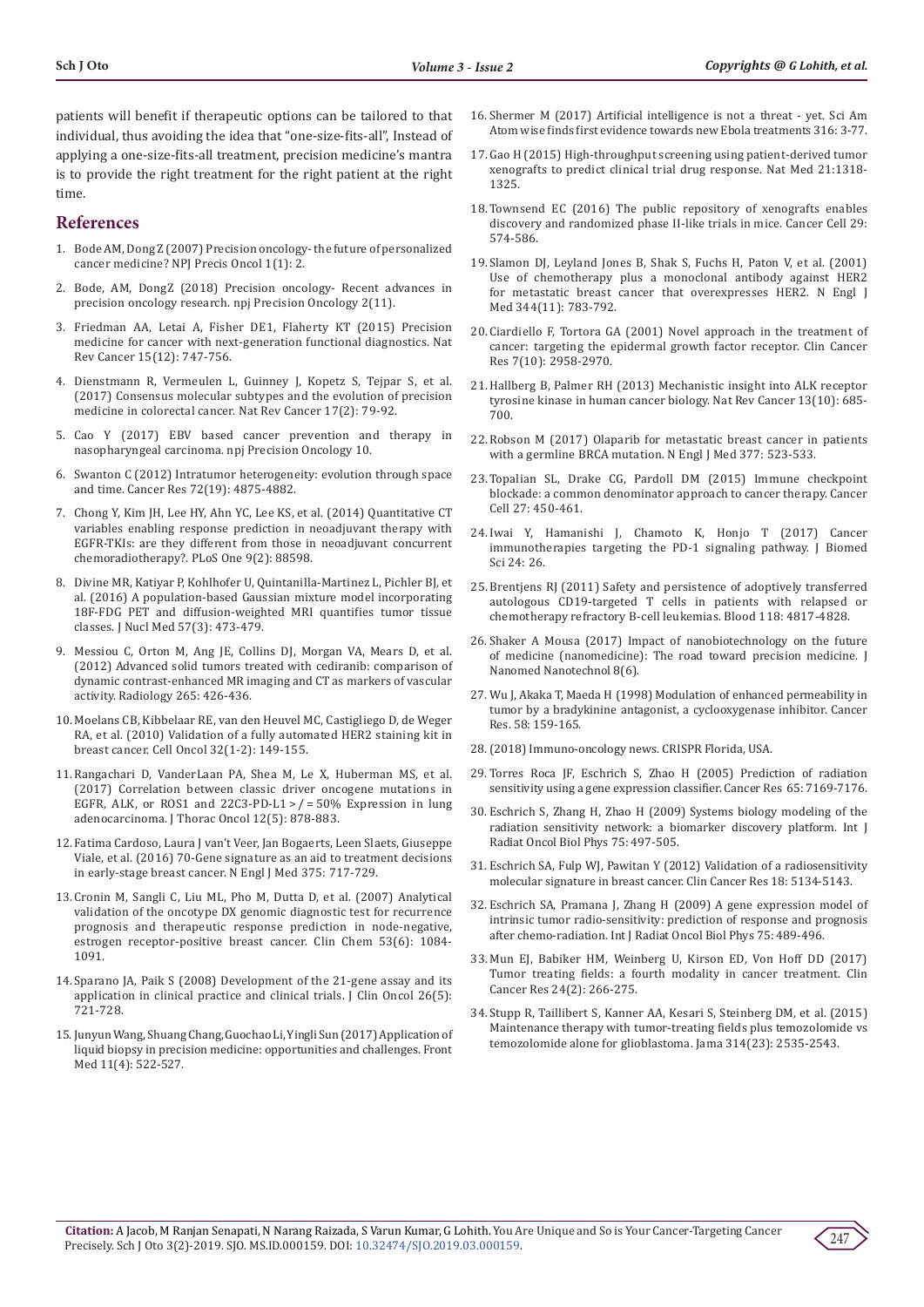patients will benefit if therapeutic options can be tailored to that individual, thus avoiding the idea that "one-size-fits-all", Instead of applying a one-size-fits-all treatment, precision medicine's mantra is to provide the right treatment for the right patient at the right time.

## **References**

- 1. [Bode AM, Dong Z \(2007\) Precision oncology- the future of personalized](https://www.ncbi.nlm.nih.gov/pubmed/29872692)  [cancer medicine? NPJ Precis Oncol 1\(1\): 2.](https://www.ncbi.nlm.nih.gov/pubmed/29872692)
- 2. [Bode, AM, DongZ \(2018\) Precision oncology- Recent advances in](https://www.nature.com/articles/s41698-018-0055-0)  [precision oncology research. npj Precision Oncology 2\(11\).](https://www.nature.com/articles/s41698-018-0055-0)
- 3. [Friedman AA, Letai A, Fisher DE1, Flaherty KT \(2015\) Precision](https://www.ncbi.nlm.nih.gov/pubmed/26536825)  [medicine for cancer with next-generation functional diagnostics.](https://www.ncbi.nlm.nih.gov/pubmed/26536825) Nat Rev Cancer [15\(12\): 747-756.](https://www.ncbi.nlm.nih.gov/pubmed/26536825)
- 4. [Dienstmann R, Vermeulen L, Guinney J, Kopetz S, Tejpar S, et al.](https://www.ncbi.nlm.nih.gov/pubmed/28050011)  [\(2017\) Consensus molecular subtypes and the evolution of precision](https://www.ncbi.nlm.nih.gov/pubmed/28050011)  [medicine in colorectal cancer.](https://www.ncbi.nlm.nih.gov/pubmed/28050011) Nat Rev Cancer 17(2): 79-92.
- 5. [Cao Y \(2017\) EBV based cancer prevention and therapy in](https://www.researchgate.net/publication/316937737_EBV_based_cancer_prevention_and_therapy_in_nasopharyngeal_carcinoma)  [nasopharyngeal carcinoma.](https://www.researchgate.net/publication/316937737_EBV_based_cancer_prevention_and_therapy_in_nasopharyngeal_carcinoma) npj Precision Oncology 10.
- 6. [Swanton C \(2012\) Intratumor heterogeneity: evolution through space](https://www.ncbi.nlm.nih.gov/pubmed/23002210)  [and time. Cancer Res 72\(19\): 4875-4882.](https://www.ncbi.nlm.nih.gov/pubmed/23002210)
- 7. [Chong Y, Kim JH, Lee HY, Ahn YC, Lee KS, et al. \(2014\) Quantitative CT](https://www.ncbi.nlm.nih.gov/pubmed/24586348)  [variables enabling response prediction in neoadjuvant therapy with](https://www.ncbi.nlm.nih.gov/pubmed/24586348)  [EGFR-TKIs: are they different from those in neoadjuvant concurrent](https://www.ncbi.nlm.nih.gov/pubmed/24586348)  [chemoradiotherapy?. PLoS One 9\(2\): 88598.](https://www.ncbi.nlm.nih.gov/pubmed/24586348)
- 8. [Divine MR, Katiyar P, Kohlhofer U, Quintanilla-Martinez L, Pichler BJ, et](https://www.ncbi.nlm.nih.gov/pubmed/26659350)  [al. \(2016\) A population-based Gaussian mixture model incorporating](https://www.ncbi.nlm.nih.gov/pubmed/26659350)  [18F-FDG PET and diffusion-weighted MRI quantifies tumor tissue](https://www.ncbi.nlm.nih.gov/pubmed/26659350)  [classes. J Nucl Med 57\(3\): 473-479.](https://www.ncbi.nlm.nih.gov/pubmed/26659350)
- 9. Messiou C, Orton M, Ang JE, Collins DJ, Morgan VA, Mears D, et al. (2012) Advanced solid tumors treated with cediranib: comparison of dynamic contrast-enhanced MR imaging and CT as markers of vascular activity. Radiology 265: 426-436.
- 10. [Moelans CB, Kibbelaar RE, van den Heuvel MC, Castigliego D, de Weger](https://www.ncbi.nlm.nih.gov/pubmed/20203372)  [RA, et al. \(2010\) Validation of a fully automated HER2 staining kit in](https://www.ncbi.nlm.nih.gov/pubmed/20203372)  breast cancer. Cell Oncol [32\(1-2\): 149-155.](https://www.ncbi.nlm.nih.gov/pubmed/20203372)
- 11. [Rangachari D, VanderLaan PA, Shea M, Le X, Huberman MS, et al.](https://www.ncbi.nlm.nih.gov/pubmed/28104537)  [\(2017\) Correlation between classic driver oncogene mutations in](https://www.ncbi.nlm.nih.gov/pubmed/28104537)  EGFR, ALK, or ROS1 and 22C3-PD-L1 >  $/$  = 50% Expression in lung adenocarcinoma. J Thorac Oncol 12(5): 878-883.
- 12. [Fatima Cardoso, Laura J van't Veer, Jan Bogaerts, Leen Slaets, Giuseppe](https://www.nejm.org/doi/full/10.1056/NEJMoa1602253)  [Viale, et al. \(2016\) 70-Gene signature as an aid to treatment decisions](https://www.nejm.org/doi/full/10.1056/NEJMoa1602253)  [in early-stage breast cancer.](https://www.nejm.org/doi/full/10.1056/NEJMoa1602253) N Engl J Med 375: 717-729.
- 13. [Cronin M, Sangli C, Liu ML, Pho M, Dutta D, et al. \(2007\) Analytical](https://www.ncbi.nlm.nih.gov/pubmed/17463177)  [validation of the oncotype DX genomic diagnostic test for recurrence](https://www.ncbi.nlm.nih.gov/pubmed/17463177)  [prognosis and therapeutic response prediction in node-negative,](https://www.ncbi.nlm.nih.gov/pubmed/17463177)  [estrogen receptor-positive breast cancer.](https://www.ncbi.nlm.nih.gov/pubmed/17463177) Clin Chem 53(6): 1084- [1091.](https://www.ncbi.nlm.nih.gov/pubmed/17463177)
- 14. [Sparano JA, Paik S \(2008\) Development of the 21-gene assay and its](https://www.ncbi.nlm.nih.gov/pubmed/18258979)  [application in clinical practice and clinical trials.](https://www.ncbi.nlm.nih.gov/pubmed/18258979) J Clin Oncol 26(5): [721-728.](https://www.ncbi.nlm.nih.gov/pubmed/18258979)
- 15. [Junyun Wang, Shuang Chang, Guochao Li, Yingli Sun \(2017\) Application of](https://www.ncbi.nlm.nih.gov/pubmed/28744793)  [liquid biopsy in precision medicine: opportunities and challenges.](https://www.ncbi.nlm.nih.gov/pubmed/28744793) Front Med [11\(4\): 522-527.](https://www.ncbi.nlm.nih.gov/pubmed/28744793)
- 16. [Shermer M \(2017\) Artificial intelligence is not a threat yet. Sci Am](https://www.scientificamerican.com/article/artificial-intelligence-is-not-a-threat-mdash-yet/) [Atom wise finds first evidence towards new Ebola treatments 316: 3-77.](https://www.scientificamerican.com/article/artificial-intelligence-is-not-a-threat-mdash-yet/)
- 17. [Gao H \(2015\) High-throughput screening using patient-derived tumor](https://www.ncbi.nlm.nih.gov/pubmed/26479923) [xenografts to predict clinical trial drug response.](https://www.ncbi.nlm.nih.gov/pubmed/26479923) Nat Med 21:1318- [1325.](https://www.ncbi.nlm.nih.gov/pubmed/26479923)
- 18. [Townsend EC \(2016\) The public repository of xenografts enables](https://www.ncbi.nlm.nih.gov/pubmed/27070704) [discovery and randomized phase II-like trials in mice.](https://www.ncbi.nlm.nih.gov/pubmed/27070704) Cancer Cell 29: [574-586.](https://www.ncbi.nlm.nih.gov/pubmed/27070704)
- 19. [Slamon DJ, Leyland Jones B, Shak S, Fuchs H, Paton V, et al. \(2001\)](https://www.ncbi.nlm.nih.gov/pubmed/11248153) [Use of chemotherapy plus a monoclonal antibody against HER2](https://www.ncbi.nlm.nih.gov/pubmed/11248153) [for metastatic breast cancer that overexpresses HER2.](https://www.ncbi.nlm.nih.gov/pubmed/11248153) N Engl J Med [344\(11\): 783-792.](https://www.ncbi.nlm.nih.gov/pubmed/11248153)
- 20. [Ciardiello F, Tortora GA \(2001\) Novel approach in the treatment of](https://www.ncbi.nlm.nih.gov/pubmed/11595683) [cancer: targeting the epidermal growth factor receptor.](https://www.ncbi.nlm.nih.gov/pubmed/11595683) Clin Cancer Res [7\(10\): 2958-2970.](https://www.ncbi.nlm.nih.gov/pubmed/11595683)
- 21.[Hallberg B, Palmer RH \(2013\) Mechanistic insight into ALK receptor](https://www.ncbi.nlm.nih.gov/pubmed/24060861) [tyrosine kinase in human cancer biology.](https://www.ncbi.nlm.nih.gov/pubmed/24060861) Nat Rev Cancer 13(10): 685- [700.](https://www.ncbi.nlm.nih.gov/pubmed/24060861)
- 22. [Robson M \(2017\) Olaparib for metastatic breast cancer in patients](https://www.ncbi.nlm.nih.gov/pubmed/28578601) [with a germline BRCA mutation.](https://www.ncbi.nlm.nih.gov/pubmed/28578601) N Engl J Med 377: 523-533.
- 23. [Topalian SL, Drake CG, Pardoll DM \(2015\) Immune checkpoint](https://www.ncbi.nlm.nih.gov/pubmed/25858804) [blockade: a common denominator approach to cancer therapy. Cancer](https://www.ncbi.nlm.nih.gov/pubmed/25858804) [Cell 27: 450-461.](https://www.ncbi.nlm.nih.gov/pubmed/25858804)
- 24.[Iwai Y, Hamanishi J, Chamoto K, Honjo T \(2017\) Cancer](https://www.ncbi.nlm.nih.gov/pubmed/28376884) [immunotherapies targeting the PD-1 signaling pathway.](https://www.ncbi.nlm.nih.gov/pubmed/28376884) J Biomed Sci [24: 26.](https://www.ncbi.nlm.nih.gov/pubmed/28376884)
- 25. [Brentjens RJ \(2011\) Safety and persistence of adoptively transferred](https://www.ncbi.nlm.nih.gov/pubmed/21849486) [autologous CD19-targeted T cells in patients with relapsed or](https://www.ncbi.nlm.nih.gov/pubmed/21849486) [chemotherapy refractory B-cell leukemias.](https://www.ncbi.nlm.nih.gov/pubmed/21849486) Blood 118: 4817-4828.
- 26. [Shaker A Mousa \(2017\) Impact of nanobiotechnology on the future](https://www.researchgate.net/publication/319385704_Impact_of_nanobiotechnology_on_the_future_of_medicine_nanomedicine_The_road_toward_precision_medicine) [of medicine \(nanomedicine\): The road toward precision medicine.](https://www.researchgate.net/publication/319385704_Impact_of_nanobiotechnology_on_the_future_of_medicine_nanomedicine_The_road_toward_precision_medicine) J [Nanomed Nanotechnol 8\(6\).](https://www.researchgate.net/publication/319385704_Impact_of_nanobiotechnology_on_the_future_of_medicine_nanomedicine_The_road_toward_precision_medicine)
- 27. [Wu J, Akaka T, Maeda H \(1998\) Modulation of enhanced permeability in](https://www.ncbi.nlm.nih.gov/pubmed/9426072) [tumor by a bradykinine antagonist, a cyclooxygenase inhibitor. Cancer](https://www.ncbi.nlm.nih.gov/pubmed/9426072) [Res. 58: 159-165.](https://www.ncbi.nlm.nih.gov/pubmed/9426072)
- 28.(2018) Immuno-oncology news. CRISPR Florida, USA.
- 29. [Torres Roca JF, Eschrich S, Zhao H \(2005\) Prediction of radiation](https://www.ncbi.nlm.nih.gov/pubmed/16103067) [sensitivity using a gene expression classifier. Cancer Res 65: 7169-7176.](https://www.ncbi.nlm.nih.gov/pubmed/16103067)
- 30. [Eschrich S, Zhang H, Zhao H \(2009\) Systems biology modeling of the](https://www.ncbi.nlm.nih.gov/pubmed/19735874) [radiation sensitivity network: a biomarker discovery platform. Int J](https://www.ncbi.nlm.nih.gov/pubmed/19735874) [Radiat Oncol Biol Phys 75: 497-505.](https://www.ncbi.nlm.nih.gov/pubmed/19735874)
- 31. [Eschrich SA, Fulp WJ, Pawitan Y \(2012\) Validation of a radiosensitivity](https://www.ncbi.nlm.nih.gov/pubmed/22832933) [molecular signature in breast cancer. Clin Cancer Res 18: 5134-5143.](https://www.ncbi.nlm.nih.gov/pubmed/22832933)
- 32. [Eschrich SA, Pramana J, Zhang H \(2009\) A gene expression model of](https://www.ncbi.nlm.nih.gov/pubmed/19735873) [intrinsic tumor radio-sensitivity: prediction of response and prognosis](https://www.ncbi.nlm.nih.gov/pubmed/19735873) [after chemo-radiation. Int J Radiat Oncol Biol Phys 75: 489-496.](https://www.ncbi.nlm.nih.gov/pubmed/19735873)
- 33. [Mun EJ, Babiker HM, Weinberg U, Kirson ED, Von Hoff DD \(2017\)](https://www.ncbi.nlm.nih.gov/pubmed/28765323) [Tumor treating fields: a fourth modality in cancer treatment. Clin](https://www.ncbi.nlm.nih.gov/pubmed/28765323) [Cancer Res 24\(2\): 266-275.](https://www.ncbi.nlm.nih.gov/pubmed/28765323)
- 34. [Stupp R, Taillibert S, Kanner AA, Kesari S, Steinberg DM, et al. \(2015\)](https://www.ncbi.nlm.nih.gov/pubmed/26670971) [Maintenance therapy with tumor-treating fields plus temozolomide vs](https://www.ncbi.nlm.nih.gov/pubmed/26670971) [temozolomide alone for glioblastoma. Jama 314\(23\): 2535-2543.](https://www.ncbi.nlm.nih.gov/pubmed/26670971)